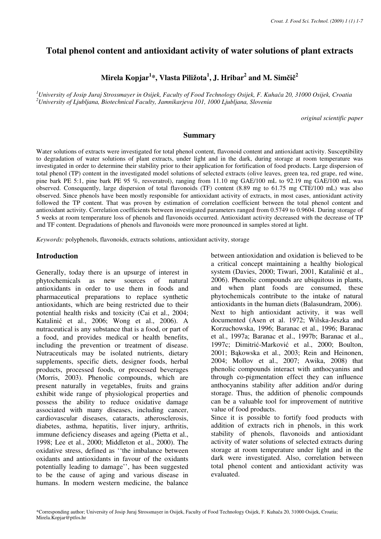# **Total phenol content and antioxidant activity of water solutions of plant extracts**

# **Mirela Kopjar<sup>1</sup> \*, Vlasta Piližota<sup>1</sup> , J. Hribar<sup>2</sup> and M. Sim**č**i**č **2**

*<sup>1</sup>University of Josip Juraj Strossmayer in Osijek, Faculty of Food Technology Osijek, F. Kuha*č*a 20, 31000 Osijek, Croatia <sup>2</sup>University of Ljubljana, Biotechnical Faculty, Jamnikarjeva 101, 1000 Ljubljana, Slovenia*

*original scientific paper*

#### **Summary**

Water solutions of extracts were investigated for total phenol content, flavonoid content and antioxidant activity. Susceptibility to degradation of water solutions of plant extracts, under light and in the dark, during storage at room temperature was investigated in order to determine their stability prior to their application for fortification of food products. Large dispersion of total phenol (TP) content in the investigated model solutions of selected extracts (olive leaves, green tea, red grape, red wine, pine bark PE 5:1, pine bark PE 95 %, resveratrol), ranging from 11.10 mg GAE/100 mL to 92.19 mg GAE/100 mL was observed. Consequently, large dispersion of total flavonoids (TF) content (8.89 mg to 61.75 mg CTE/100 mL) was also observed. Since phenols have been mostly responsible for antioxidant activity of extracts, in most cases, antioxidant activity followed the TP content. That was proven by estimation of correlation coefficient between the total phenol content and antioxidant activity. Correlation coefficients between investigated parameters ranged from 0.5749 to 0.9604. During storage of 5 weeks at room temperature loss of phenols and flavonoids occurred. Antioxidant activity decreased with the decrease of TP and TF content. Degradations of phenols and flavonoids were more pronounced in samples stored at light.

*Keywords:* polyphenols, flavonoids, extracts solutions, antioxidant activity, storage

#### **Introduction**

Generally, today there is an upsurge of interest in phytochemicals as new sources of natural phytochemicals as new antioxidants in order to use them in foods and pharmaceutical preparations to replace synthetic antioxidants, which are being restricted due to their potential health risks and toxicity (Cai et al., 2004; Katalinić et al., 2006; Wong et al., 2006). A nutraceutical is any substance that is a food, or part of a food, and provides medical or health benefits, including the prevention or treatment of disease. Nutraceuticals may be isolated nutrients, dietary supplements, specific diets, designer foods, herbal products, processed foods, or processed beverages (Morris, 2003). Phenolic compounds, which are present naturally in vegetables, fruits and grains exhibit wide range of physiological properties and possess the ability to reduce oxidative damage associated with many diseases, including cancer, cardiovascular diseases, cataracts, atherosclerosis, diabetes, asthma, hepatitis, liver injury, arthritis, immune deficiency diseases and ageing (Pietta et al., 1998; Lee et al., 2000; Middleton et al., 2000). The oxidative stress, defined as ''the imbalance between oxidants and antioxidants in favour of the oxidants potentially leading to damage'', has been suggested to be the cause of aging and various disease in humans. In modern western medicine, the balance between antioxidation and oxidation is believed to be a critical concept maintaining a healthy biological system (Davies, 2000; Tiwari, 2001, Katalinić et al., 2006). Phenolic compounds are ubiquitous in plants, and when plant foods are consumed, these phytochemicals contribute to the intake of natural antioxidants in the human diets (Balasundram, 2006). Next to high antioxidant activity, it was well documented (Asen et al. 1972; Wilska-Jeszka and Korzuchowska, 1996; Baranac et al., 1996; Baranac et al., 1997a; Baranac et al., 1997b; Baranac et al., 1997c; Dimitrić-Marković et al., 2000; Boulton, 2001; Bąkowska et al., 2003; Rein and Heinonen, 2004; Mollov et al., 2007; Awika, 2008) that phenolic compounds interact with anthocyanins and through co-pigmentation effect they can influence anthocyanins stability after addition and/or during storage. Thus, the addition of phenolic compounds can be a valuable tool for improvement of nutritive value of food products.

Since it is possible to fortify food products with addition of extracts rich in phenols, in this work stability of phenols, flavonoids and antioxidant activity of water solutions of selected extracts during storage at room temperature under light and in the dark were investigated. Also, correlation between total phenol content and antioxidant activity was evaluated.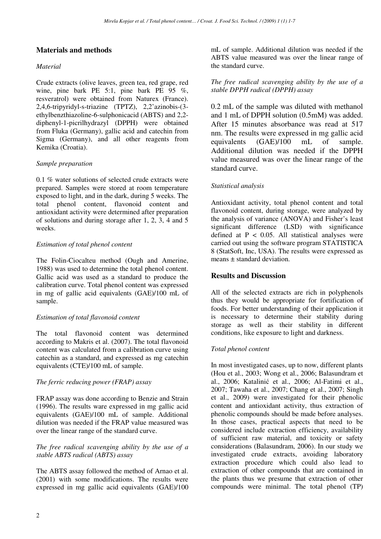## **Materials and methods**

### *Material*

Crude extracts (olive leaves, green tea, red grape, red wine, pine bark PE 5:1, pine bark PE 95 %, resveratrol) were obtained from Naturex (France). 2,4,6-tripyridyl-s-triazine (TPTZ), 2,2'azinobis-(3 ethylbenzthiazoline-6-sulphonicacid (ABTS) and 2,2 diphenyl-1-picrilhydrazyl (DPPH) were obtained from Fluka (Germany), gallic acid and catechin from Sigma (Germany), and all other reagents from Kemika (Croatia).

### *Sample preparation*

0.1 % water solutions of selected crude extracts were prepared. Samples were stored at room temperature exposed to light, and in the dark, during 5 weeks. The total phenol content, flavonoid content and antioxidant activity were determined after preparation of solutions and during storage after 1, 2, 3, 4 and 5 weeks.

### *Estimation of total phenol content*

The Folin-Ciocalteu method (Ough and Amerine, 1988) was used to determine the total phenol content. Gallic acid was used as a standard to produce the calibration curve. Total phenol content was expressed in mg of gallic acid equivalents (GAE)/100 mL of sample.

#### *Estimation of total flavonoid content*

The total flavonoid content was determined according to Makris et al. (2007). The total flavonoid content was calculated from a calibration curve using catechin as a standard, and expressed as mg catechin equivalents (CTE)/100 mL of sample.

## *The ferric reducing power (FRAP) assay*

FRAP assay was done according to Benzie and Strain (1996). The results ware expressed in mg gallic acid equivalents (GAE)/100 mL of sample. Additional dilution was needed if the FRAP value measured was over the linear range of the standard curve.

#### *The free radical scavenging ability by the use of a stable ABTS radical (ABTS) assay*

The ABTS assay followed the method of Arnao et al. (2001) with some modifications. The results were expressed in mg gallic acid equivalents (GAE)/100 mL of sample. Additional dilution was needed if the ABTS value measured was over the linear range of the standard curve.

#### *The free radical scavenging ability by the use of a stable DPPH radical (DPPH) assay*

0.2 mL of the sample was diluted with methanol and 1 mL of DPPH solution (0.5mM) was added. After 15 minutes absorbance was read at 517 nm. The results were expressed in mg gallic acid equivalents (GAE)/100 mL of sample. Additional dilution was needed if the DPPH value measured was over the linear range of the standard curve.

## *Statistical analysis*

Antioxidant activity, total phenol content and total flavonoid content, during storage, were analyzed by the analysis of variance (ANOVA) and Fisher's least significant difference (LSD) with significance defined at  $P < 0.05$ . All statistical analyses were carried out using the software program STATISTICA 8 (StatSoft, Inc, USA). The results were expressed as means ± standard deviation.

# **Results and Discussion**

All of the selected extracts are rich in polyphenols thus they would be appropriate for fortification of foods. For better understanding of their application it is necessary to determine their stability during storage as well as their stability in different conditions, like exposure to light and darkness.

## *Total phenol content*

In most investigated cases, up to now, different plants (Hou et al., 2003; Wong et al., 2006; Balasundram et al., 2006; Katalinić et al., 2006; Al-Fatimi et al., 2007; Tawaha et al., 2007; Chang et al., 2007; Singh et al., 2009) were investigated for their phenolic content and antioxidant activity, thus extraction of phenolic compounds should be made before analyses. In those cases, practical aspects that need to be considered include extraction efficiency, availability of sufficient raw material, and toxicity or safety considerations (Balasundram, 2006). In our study we investigated crude extracts, avoiding laboratory extraction procedure which could also lead to extraction of other compounds that are contained in the plants thus we presume that extraction of other compounds were minimal. The total phenol (TP)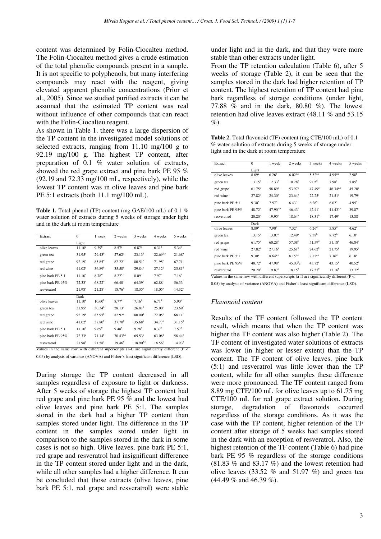content was determined by Folin-Ciocalteu method. The Folin-Ciocalteu method gives a crude estimation of the total phenolic compounds present in a sample. It is not specific to polyphenols, but many interfering compounds may react with the reagent, giving elevated apparent phenolic concentrations (Prior et al., 2005). Since we studied purified extracts it can be assumed that the estimated TP content was real without influence of other compounds that can react with the Folin-Ciocalteu reagent.

As shown in Table 1. there was a large dispersion of the TP content in the investigated model solutions of selected extracts, ranging from 11.10 mg/100 g to 92.19 mg/100 g. The highest TP content, after preparation of 0.1 % water solution of extracts, showed the red grape extract and pine bark PE 95 % (92.19 and 72.33 mg/100 mL, respectively), while the lowest TP content was in olive leaves and pine bark PE 5:1 extracts (both 11.1 mg/100 mL).

**Table 1.** Total phenol (TP) content (mg GAE/100 mL) of 0.1 % water solution of extracts during 5 weeks of storage under light and in the dark at room temperature

| Extract          | $\mathbf{0}$       | 1 week             | 2 weeks            | 3 weeks              | 4 weeks             | 5 weeks              |
|------------------|--------------------|--------------------|--------------------|----------------------|---------------------|----------------------|
|                  | Light              |                    |                    |                      |                     |                      |
| olive leaves     | $11.10^a$          | 9.39 <sup>b</sup>  | 8.57 <sup>c</sup>  | $6.87$ <sup>d</sup>  | 6.31 <sup>d</sup>   | 5.34 <sup>e</sup>    |
| green tea        | $31.95^{\rm a}$    | $29.43^{b}$        | $27.62^{\circ}$    | $23.13^{d}$          | $22.69^{d,e}$       | $21.68^{\circ}$      |
| red grape        | 92.19 <sup>a</sup> | $85.85^{b}$        | $82.22^{\circ}$    | $80.51$ <sup>d</sup> | $71.95^{\circ}$     | 67.71 <sup>f</sup>   |
| red wine         | 41.02 <sup>a</sup> | 36.89 <sup>b</sup> | 35.58 <sup>b</sup> | $29.84^{\circ}$      | 27.12 <sup>d</sup>  | $25.81$ <sup>d</sup> |
| pine bark PE 5:1 | $11.10^{a}$        | $8.78^{b}$         | $8.22^{b,c}$       | 8.09 <sup>c</sup>    | 7.97 <sup>c</sup>   | 7.16 <sup>d</sup>    |
| pine bark PE 95% | 72.33 <sup>a</sup> | $68.22^{b}$        | 66.40 <sup>c</sup> | 64.39 <sup>d</sup>   | $62.88^{\circ}$     | 56.33 <sup>f</sup>   |
| resveratrol      | 21.98 <sup>a</sup> | $21.28^{a}$        | $18.76^b$          | $18.35^{b}$          | $18.05^{b}$         | $14.32^{\circ}$      |
|                  | Dark               |                    |                    |                      |                     |                      |
| olive leaves     | $11.10^{a}$        | 10.60 <sup>b</sup> | 8.77 <sup>c</sup>  | $7.16^{d}$           | $6.71$ <sup>d</sup> | 5.90 <sup>e</sup>    |
| green tea        | $31.95^{\rm a}$    | $30.34^{b}$        | $28.13^{\circ}$    | 26.81 <sup>d</sup>   | $25.00^{\circ}$     | 23.69 <sup>f</sup>   |
| red grape        | 92.19 <sup>a</sup> | $85.95^{b}$        | $82.92^{\circ}$    | 80.00 <sup>d</sup>   | $72.05^{\circ}$     | $68.11^{f}$          |
| red wine         | 41.02 <sup>a</sup> | $38.80^{b}$        | 37.70 <sup>b</sup> | $35.68^{\circ}$      | $34.77^{\circ}$     | $31.15^d$            |
| pine bark PE 5:1 | $11.10^{a}$        | 9.69 <sup>b</sup>  | $9.48^{b}$         | $9.28^{b}$           | 8.37 <sup>c</sup>   | 7.57 <sup>d</sup>    |
| pine bark PE 95% | $72.33^a$          | 71.14 <sup>b</sup> | $70.43^{b,c}$      | $65.53^{\circ}$      | $63.08^{d}$         | $58.44^{\circ}$      |
| resveratrol      | 21.98 <sup>a</sup> | $21.58^{a}$        | 19.46 <sup>b</sup> | $18.90^{b,c}$        | 18.56 <sup>c</sup>  | 14.93 <sup>d</sup>   |

Values in the same row with different superscripts (a-f) are significantly different ( $P <$ 0.05) by analysis of variance (ANOVA) and Fisher's least significant difference (LSD).

During storage the TP content decreased in all samples regardless of exposure to light or darkness. After 5 weeks of storage the highest TP content had red grape and pine bark PE 95 % and the lowest had olive leaves and pine bark PE 5:1. The samples stored in the dark had a higher TP content than samples stored under light. The difference in the TP content in the samples stored under light in comparison to the samples stored in the dark in some cases is not so high. Olive leaves, pine bark PE 5:1, red grape and resveratrol had insignificant difference in the TP content stored under light and in the dark, while all other samples had a higher difference. It can be concluded that those extracts (olive leaves, pine bark PE 5:1, red grape and resveratrol) were stable under light and in the dark, and that they were more stable than other extracts under light.

From the TP retention calculation (Table 6), after 5 weeks of storage (Table 2), it can be seen that the samples stored in the dark had higher retention of TP content. The highest retention of TP content had pine bark regardless of storage conditions (under light, 77.88 % and in the dark, 80.80 %). The lowest retention had olive leaves extract (48.11 % and 53.15  $\%$ ).

**Table 2.** Total flavonoid (TF) content (mg CTE/100 mL) of 0.1 % water solution of extracts during 5 weeks of storage under light and in the dark at room temperature

| Extract          | $\mathbf{0}$      | 1 week             | 2 weeks            | 3 weeks            | 4 weeks             | 5 weeks              |
|------------------|-------------------|--------------------|--------------------|--------------------|---------------------|----------------------|
|                  | Light             |                    |                    |                    |                     |                      |
| olive leaves     | $8.89^{a}$        | 6.26 <sup>b</sup>  | $6.02^{6,c}$       | $5.52^{c,d}$       | $4.95^{d,e}$        | $2.98^{f}$           |
| green tea        | $13.15^a$         | $12.33^{b}$        | 10.28 <sup>c</sup> | $9.05^{\rm d}$     | 7.98 <sup>e</sup>   | $5.85$ <sup>f</sup>  |
| red grape        | $61.75^{\circ}$   | 58.89 <sup>b</sup> | 53.97 <sup>c</sup> | 47.49 <sup>d</sup> | $46.34^{d,e}$       | $45.20^{\circ}$      |
| red wine         | $27.82^{a}$       | $24.30^{b}$        | $23.64^{b}$        | $22.25^{\circ}$    | $21.51^{\circ}$     | 19.79 <sup>d</sup>   |
| pine bark PE 5:1 | $9.30^{\circ}$    | 7.57 <sup>b</sup>  | 6.43 <sup>c</sup>  | $6.26^{\circ}$     | 6.02 <sup>c</sup>   | $4.95^{\rm d}$       |
| pine bark PE 95% | $48.72^{a}$       | $47.90^{a,b}$      | $46.43^{b}$        | $42.41^{\circ}$    | $41.43^{c,d}$       | $39.87$ <sup>d</sup> |
| resveratrol      | $20.20^a$         | $19.95^{\text{a}}$ | $18.64^{b}$        | $18.31^{b}$        | 17.49 <sup>c</sup>  | $13.88^{d}$          |
|                  | Dark              |                    |                    |                    |                     |                      |
| olive leaves     | 8.89 <sup>a</sup> | 7.90 <sup>b</sup>  | 7.32 <sup>c</sup>  | 6.26 <sup>d</sup>  | $5.85$ <sup>d</sup> | 4.62 <sup>e</sup>    |
| green tea        | $13.15^{a}$       | 13.07 <sup>a</sup> | $12.49^a$          | $9.38^{b}$         | $8.72^b$            | 6.10 <sup>c</sup>    |
| red grape        | $61.75^{a}$       | 60.28 <sup>b</sup> | 57.08 <sup>b</sup> | 51.59 <sup>d</sup> | $51.18^{d}$         | $46.84^{\circ}$      |
| red wine         | $27.82^{a}$       | 27.16 <sup>a</sup> | $25.61^b$          | $24.62^b$          | $21.75^{\circ}$     | $19.95^{\text{d}}$   |
| pine bark PE 5:1 | 9.30 <sup>a</sup> | $8.64^{a,b}$       | $8.15^{b,c}$       | $7.82^{c,d}$       | 7.16 <sup>d</sup>   | 6.18 <sup>e</sup>    |
| pine bark PE 95% | $48.72^{\rm a}$   | 47.98 <sup>a</sup> | $45.03^{b}c$       | $43.72^{\circ}$    | $43.15^{\circ}$     | 40.52 <sup>d</sup>   |
| resveratrol      | $20.20^a$         | 19.87 <sup>a</sup> | $18.15^{b}$        | 17.57 <sup>b</sup> | 17.16 <sup>b</sup>  | $13.72^{\circ}$      |

Values in the same row with different superscripts (a-f) are significantly different (P < 0.05) by analysis of variance (ANOVA) and Fisher's least significant difference (LSD).

#### *Flavonoid content*

Results of the TF content followed the TP content result, which means that when the TP content was higher the TF content was also higher (Table 2). The TF content of investigated water solutions of extracts was lower (in higher or lesser extent) than the TP content. The TF content of olive leaves, pine bark (5:1) and resveratrol was little lower than the TP content, while for all other samples these difference were more pronounced. The TF content ranged from 8.89 mg CTE/100 mL for olive leaves up to 61.75 mg CTE/100 mL for red grape extract solution. During storage, degradation of flavonoids occurred regardless of the storage conditions. As it was the case with the TP content, higher retention of the TF content after storage of 5 weeks had samples stored in the dark with an exception of resveratrol. Also, the highest retention of the TF content (Table 6) had pine bark PE 95 % regardless of the storage conditions (81.83 % and 83.17 %) and the lowest retention had olive leaves  $(33.52 \%$  and  $51.97 \%$ ) and green tea (44.49 % and 46.39 %).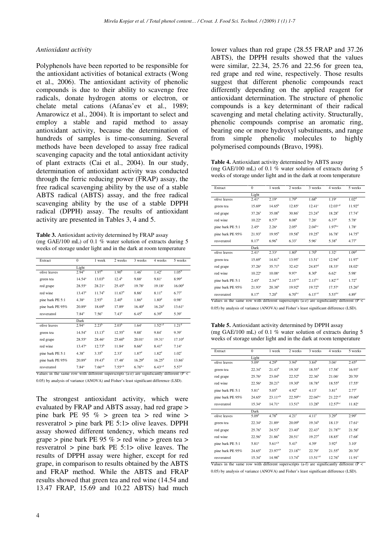#### *Antioxidant activity*

Polyphenols have been reported to be responsible for the antioxidant activities of botanical extracts (Wong et al., 2006). The antioxidant activity of phenolic compounds is due to their ability to scavenge free radicals, donate hydrogen atoms or electron, or chelate metal cations (Afanas'ev et al., 1989; Amarowicz et al., 2004). It is important to select and employ a stable and rapid method to assay antioxidant activity, because the determination of hundreds of samples is time-consuming. Several methods have been developed to assay free radical scavenging capacity and the total antioxidant activity of plant extracts (Cai et al., 2004). In our study, determination of antioxidant activity was conducted through the ferric reducing power (FRAP) assay, the free radical scavenging ability by the use of a stable ABTS radical (ABTS) assay, and the free radical scavenging ability by the use of a stable DPPH radical (DPPH) assay. The results of antioxidant activity are presented in Tables 3, 4 and 5.

**Table 3.** Antioxidant activity determined by FRAP assay (mg GAE/100 mL) of 0.1 % water solution of extracts during 5 weeks of storage under light and in the dark at room temperature

| Extract                                                                                               | $\mathbf{0}$       | 1 week             | 2 weeks            | 3 weeks            | 4 weeks            | 5 weeks            |
|-------------------------------------------------------------------------------------------------------|--------------------|--------------------|--------------------|--------------------|--------------------|--------------------|
|                                                                                                       | Light              |                    |                    |                    |                    |                    |
| olive leaves                                                                                          | $2.94^{a}$         | 1.97 <sup>b</sup>  | 1.90 <sup>b</sup>  | 1.46 <sup>c</sup>  | $1.42^{\circ}$     | 1.05 <sup>d</sup>  |
| green tea                                                                                             | $14.54^{\circ}$    | 13.03 <sup>b</sup> | $12.4^{b}$         | $9.88^{\circ}$     | 9.81 <sup>c</sup>  | $8.99^{d}$         |
| red grape                                                                                             | $28.55^a$          | $28.21^{a}$        | $25.45^{\rm b}$    | 19.78 <sup>c</sup> | $19.18^{\circ}$    | 16.00 <sup>d</sup> |
| red wine                                                                                              | 13.47 <sup>a</sup> | 11.74 <sup>b</sup> | 11.67 <sup>b</sup> | 8.86 <sup>c</sup>  | 8.11 <sup>d</sup>  | $6.77^{\circ}$     |
| pine bark PE 5:1                                                                                      | $4.38^{a}$         | $2.93^{b}$         | $2.40^{b}$         | 1.86 <sup>d</sup>  | 1.80 <sup>d</sup>  | 0.98 <sup>e</sup>  |
| pine bark PE 95%                                                                                      | $20.89^{a}$        | 18.69 <sup>b</sup> | 17.89 <sup>c</sup> | $16.40^{\rm d}$    | $16.24^{d}$        | $13.61^{\circ}$    |
| resveratrol                                                                                           | $7.84^{\circ}$     | 7.56 <sup>a</sup>  | 7.43 <sup>a</sup>  | $6.45^{b}$         | $6.39^{b}$         | 5.39 <sup>c</sup>  |
|                                                                                                       | Dark               |                    |                    |                    |                    |                    |
| olive leaves                                                                                          | $2.94^{\rm a}$     | $2.23^{b}$         | 2.03 <sup>b</sup>  | 1.64 <sup>c</sup>  | $1.52^{c,d}$       | 1.21 <sup>d</sup>  |
| green tea                                                                                             | $14.54^{\circ}$    | $13.13^{b}$        | $12.55^{\rm b}$    | $9.88^{\circ}$     | $9.84^{\circ}$     | 9.39 <sup>c</sup>  |
| red grape                                                                                             | $28.55^{\rm a}$    | $28.46^a$          | 25.60 <sup>b</sup> | $20.01^{\circ}$    | 19.31 <sup>c</sup> | 17.10 <sup>d</sup> |
| red wine                                                                                              | $13.47^{\rm a}$    | $12.73^b$          | $11.84^\circ$      | 8.66 <sup>d</sup>  | 8.41 <sup>d</sup>  | $7.14^{\circ}$     |
| pine bark PE 5:1                                                                                      | $4.38^{a}$         | $3.35^{b}$         | $2.33^{\circ}$     | 1.87 <sup>d</sup>  | $1.82^d$           | 1.02 <sup>e</sup>  |
| pine bark PE 95%                                                                                      | $20.89^{a}$        | $19.43^{b}$        | $17.48^{\circ}$    | 16.29 <sup>d</sup> | $16.25^{\rm d}$    | $13.86^{\circ}$    |
| resveratrol                                                                                           | $7.84^{a}$         | $7.66^{a,b}$       | $7.55^{a,b}$       | $6.76^{b,c}$       | $6.43^{c,d}$       | 5.57 <sup>d</sup>  |
| Values in the same row with different superscripts (a-e) are significantly different ( $P \lt \theta$ |                    |                    |                    |                    |                    |                    |

0.05) by analysis of variance (ANOVA) and Fisher's least significant difference (LSD).

The strongest antioxidant activity, which were evaluated by FRAP and ABTS assay, had red grape > pine bark PE 95  $\%$  > green tea > red wine > resveratrol > pine bark PE 5:1> olive leaves. DPPH assay showed different tendency, which means red grape > pine bark PE 95 % > red wine > green tea > resveratrol > pine bark PE 5:1> olive leaves. The results of DPPH assay were higher, except for red grape, in comparison to results obtained by the ABTS and FRAP method. While the ABTS and FRAP results showed that green tea and red wine (14.54 and 13.47 FRAP, 15.69 and 10.22 ABTS) had much lower values than red grape (28.55 FRAP and 37.26 ABTS), the DPPH results showed that the values were similar, 22.34, 25.76 and 22.56 for green tea, red grape and red wine, respectively. Those results suggest that different phenolic compounds react differently depending on the applied reagent for antioxidant determination. The structure of phenolic compounds is a key determinant of their radical scavenging and metal chelating activity. Structurally, phenolic compounds comprise an aromatic ring, bearing one or more hydroxyl substituents, and range from simple phenolic molecules to highly polymerised compounds (Bravo, 1998).

**Table 4.** Antioxidant activity determined by ABTS assay (mg GAE/100 mL) of 0.1 % water solution of extracts during 5 weeks of storage under light and in the dark at room temperature

| Extract          | $\Omega$           | 1 week             | 2 weeks            | 3 weeks              | 4 weeks            | 5 weeks            |
|------------------|--------------------|--------------------|--------------------|----------------------|--------------------|--------------------|
|                  | Light              |                    |                    |                      |                    |                    |
| olive leaves     | 2.41 <sup>a</sup>  | 2.19 <sup>a</sup>  | 1.79 <sup>b</sup>  | 1.68 <sup>b</sup>    | 1.19 <sup>c</sup>  | 1.02 <sup>d</sup>  |
| green tea        | 15.69 <sup>a</sup> | $14.65^{b}$        | $12.85^\circ$      | $12.41^\circ$        | $12.03^{c,d}$      | 11.92 <sup>d</sup> |
| red grape        | $37.26^a$          | 35.08 <sup>b</sup> | 30.86 <sup>c</sup> | $23.24^d$            | $18.28^{\circ}$    | $17.74^{\circ}$    |
| red wine         | $10.22^a$          | 8.57 <sup>b</sup>  | 8.08 <sup>b</sup>  | 7.26 <sup>c</sup>    | 6.37 <sup>d</sup>  | 5.78 <sup>e</sup>  |
| pine bark PE 5:1 | $2.45^{\rm a}$     | 2.26 <sup>a</sup>  | $2.05^{\rm b}$     | $2.04^{b,c}$         | $1.97^{b,c}$       | 1.78 <sup>c</sup>  |
| pine bark PE 95% | $21.93^{a}$        | 19.95 <sup>b</sup> | $19.58^{b}$        | $19.25^{b}$          | $16.78^{\circ}$    | $14.75^{\text{d}}$ |
| resveratrol      | 8.17 <sup>a</sup>  | $6.96^{b}$         | $6.33^{\circ}$     | 5.96 <sup>c</sup>    | $5.38^{d}$         | 4.77 <sup>e</sup>  |
|                  | Dark               |                    |                    |                      |                    |                    |
| olive leaves     | 2.41 <sup>a</sup>  | $2.33^{a}$         | 1.80 <sup>b</sup>  | 1.70 <sup>b</sup>    | 1.32 <sup>c</sup>  | 1.09 <sup>d</sup>  |
| green tea        | 15.69 <sup>a</sup> | 14.81 <sup>b</sup> | $13.95^\circ$      | $13.51^\circ$        | 12.94 <sup>d</sup> | $11.97^{\circ}$    |
| red grape        | 37.26 <sup>a</sup> | 35.71 <sup>b</sup> | $32.42^{\circ}$    | $24.87$ <sup>d</sup> | $18.33^{\circ}$    | $18.02^e$          |
| red wine         | $10.22^a$          | 10.08 <sup>a</sup> | 9.97 <sup>a</sup>  | 8.30 <sup>b</sup>    | 6.62 <sup>c</sup>  | 5.98 <sup>c</sup>  |
| pine bark PE 5:1 | $2.45^{\rm a}$     | $2.34^{a,b}$       | $2.15^{a,b}$       | $2.13^{b,c}$         | $1.82^{c,d}$       | 1.72 <sup>d</sup>  |
| pine bark PE 95% | $21.93^{a}$        | $20.38^{b}$        | 19.92 <sup>b</sup> | 19.72 <sup>b</sup>   | $17.57^{\circ}$    | 15.26 <sup>d</sup> |
| resveratrol      | 8.17 <sup>a</sup>  | 7.20 <sup>b</sup>  | $6.70^{b,c}$       | $6.13^{c,d}$         | $5.53^{d,e}$       | 4.89 <sup>e</sup>  |

0.05) by analysis of variance (ANOVA) and Fisher's least significant difference (LSD).

**Table 5.** Antioxidant activity determined by DPPH assay (mg GAE/100 mL) of 0.1 % water solution of extracts during 5 weeks of storage under light and in the dark at room temperature

| Extract          | $\mathbf{0}$       | 1 week             | 2 weeks            | 3 weeks            | 4 weeks            | 5 weeks            |
|------------------|--------------------|--------------------|--------------------|--------------------|--------------------|--------------------|
|                  | Light              |                    |                    |                    |                    |                    |
| olive leaves     | $5.09^{\rm a}$     | $4.29^{b}$         | $3.94^{b}$         | $3.84^{b}$         | $3.04^{\circ}$     | 2.45 <sup>d</sup>  |
| green tea        | $22.34^a$          | $21.43^{b}$        | $19.30^{\circ}$    | $18.55^{\rm d}$    | $17.58^{\circ}$    | $16.93^{\circ}$    |
| red grape        | $25.76^{\circ}$    | 23.04 <sup>b</sup> | $22.52^b$          | $22.36^{b}$        | 21.06 <sup>c</sup> | $20.70^{\circ}$    |
| red wine         | 22.56 <sup>a</sup> | 20.21 <sup>b</sup> | 19.30 <sup>b</sup> | $18.78^{d}$        | $18.55^{\rm d}$    | $17.55^{\circ}$    |
| pine bark PE 5:1 | 5.81 <sup>a</sup>  | $5.05^{b}$         | 4.92 <sup>b</sup>  | 4.13 <sup>c</sup>  | 3.81 <sup>d</sup>  | 2.77 <sup>c</sup>  |
| pine bark PE 95% | $24.65^a$          | $23.11^{a,b}$      | $22.59^{b,c}$      | $22.04^{b,c}$      | $21.22^{c,d}$      | 19.60 <sup>d</sup> |
| resveratrol      | 15.34 <sup>a</sup> | 14.71 <sup>a</sup> | 13.51 <sup>b</sup> | 13.28 <sup>b</sup> | $12.57^{b,c}$      | 11.82 <sup>c</sup> |
|                  | Dark               |                    |                    |                    |                    |                    |
| olive leaves     | $5.09^{\rm a}$     | 4.78 <sup>b</sup>  | 4.21 <sup>c</sup>  | 4.11 <sup>c</sup>  | 3.29 <sup>d</sup>  | 2.99 <sup>e</sup>  |
| green tea        | $22.34^a$          | $21.89^{a}$        | 20.09 <sup>b</sup> | $19.34^{b}$        | $18.13^{\circ}$    | 17.61 <sup>c</sup> |
| red grape        | $25.76^{\circ}$    | $24.53^{b}$        | $23.40^{b}$        | $22.43^d$          | $21.78^{d,e}$      | $21.58^{\circ}$    |
| red wine         | $22.56^{\circ}$    | $21.86^{b}$        | $20.51^{\circ}$    | 19.27 <sup>d</sup> | $18.85^\circ$      | 17.68 <sup>f</sup> |
| pine bark PE 5:1 | $5.81^{\circ}$     | $5.61^{a,b}$       | 5.41 <sup>b</sup>  | 4.39 <sup>c</sup>  | $3.92^d$           | $3.10^{\circ}$     |
| pine bark PE 95% | $24.65^a$          | $23.97^{a,b}$      | $23.18^{b,c}$      | 22.79 <sup>c</sup> | $21.55^d$          | $20.70^{\rm d}$    |
| resveratrol      | $15.34^{a}$        | 14.98 <sup>b</sup> | $13.74^{b}$        | $13.51^{c,d}$      | 12.76 <sup>d</sup> | 11.91 <sup>c</sup> |

0.05) by analysis of variance (ANOVA) and Fisher's least significant difference (LSD).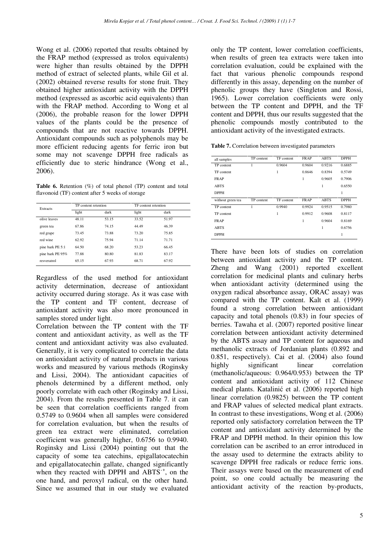Wong et al. (2006) reported that results obtained by the FRAP method (expressed as trolox equivalents) were higher than results obtained by the DPPH method of extract of selected plants, while Gil et al. (2002) obtained reverse results for stone fruit. They obtained higher antioxidant activity with the DPPH method (expressed as ascorbic acid equivalents) than with the FRAP method. According to Wong et al (2006), the probable reason for the lower DPPH values of the plants could be the presence of compounds that are not reactive towards DPPH. Antioxidant compounds such as polyphenols may be more efficient reducing agents for ferric iron but some may not scavenge DPPH free radicals as efficiently due to steric hindrance (Wong et al., 2006).

**Table 6.** Retention (%) of total phenol (TP) content and total flavonoid (TF) content after 5 weeks of storage

| <b>Extracts</b>  | TP content retention |       |       | TF content retention |  |  |
|------------------|----------------------|-------|-------|----------------------|--|--|
|                  | light                | dark  | light | dark                 |  |  |
| olive leaves     | 48.11                | 53.15 | 33.52 | 51.97                |  |  |
| green tea        | 67.86                | 74.15 | 44.49 | 46.39                |  |  |
| red grape        | 73.45                | 73.88 | 73.20 | 75.85                |  |  |
| red wine         | 62.92                | 75.94 | 71.14 | 71.71                |  |  |
| pine bark PE 5:1 | 64.50                | 68.20 | 53.23 | 66.45                |  |  |
| pine bark PE 95% | 77.88                | 80.80 | 81.83 | 83.17                |  |  |
| resveratrol      | 65.15                | 67.93 | 68.71 | 67.92                |  |  |

Regardless of the used method for antioxidant activity determination, decrease of antioxidant activity occurred during storage. As it was case with the TP content and TF content, decrease of antioxidant activity was also more pronounced in samples stored under light.

Correlation between the TP content with the TF content and antioxidant activity, as well as the TF content and antioxidant activity was also evaluated. Generally, it is very complicated to correlate the data on antioxidant activity of natural products in various works and measured by various methods (Roginsky and Lissi, 2004). The antioxidant capacities of phenols determined by a different method, only poorly correlate with each other (Roginsky and Lissi, 2004). From the results presented in Table 7. it can be seen that correlation coefficients ranged from 0.5749 to 0.9604 when all samples were considered for correlation evaluation, but when the results of green tea extract were eliminated, correlation coefficient was generally higher, 0.6756 to 0.9940. Roginsky and Lissi (2004) pointing out that the capacity of some tea catechins, epigallatocatechin and epigallatocatechin gallate, changed significantly when they reacted with DPPH and ABTS<sup>++</sup>, on the one hand, and peroxyl radical, on the other hand. Since we assumed that in our study we evaluated only the TP content, lower correlation coefficients, when results of green tea extracts were taken into correlation evaluation, could be explained with the fact that various phenolic compounds respond differently in this assay, depending on the number of phenolic groups they have (Singleton and Rossi, 1965). Lower correlation coefficients were only between the TP content and DPPH, and the TF content and DPPH, thus our results suggested that the phenolic compounds mostly contributed to the antioxidant activity of the investigated extracts.

| Table 7. Correlation between investigated parameters |  |
|------------------------------------------------------|--|
|------------------------------------------------------|--|

| all samples       | TP content | TF content | <b>FRAP</b> | <b>ABTS</b> | <b>DPPH</b> |
|-------------------|------------|------------|-------------|-------------|-------------|
| TP content        |            | 0.9604     | 0.9604      | 0.9216      | 0.6885      |
| TF content        |            | 1          | 0.8646      | 0.8394      | 0.5749      |
| <b>FRAP</b>       |            |            | 1           | 0.9605      | 0.7906      |
| <b>ABTS</b>       |            |            |             | 1           | 0.6550      |
| <b>DPPH</b>       |            |            |             |             | 1           |
| without green tea | TP content | TF content | <b>FRAP</b> | <b>ABTS</b> | <b>DPPH</b> |
| TP content        | 1          | 0.9940     | 0.9924      | 0.9515      | 0.7980      |
|                   |            |            |             |             |             |
| TF content        |            | 1          | 0.9912      | 0.9608      | 0.8117      |
| <b>FRAP</b>       |            |            | 1           | 0.9604      | 0.8169      |
| <b>ABTS</b>       |            |            |             | 1           | 0.6756      |

There have been lots of studies on correlation between antioxidant activity and the TP content. Zheng and Wang (2001) reported excellent correlation for medicinal plants and culinary herbs when antioxidant activity (determined using the oxygen radical absorbance assay, ORAC assay) was compared with the TP content. Kalt et al. (1999) found a strong correlation between antioxidant capacity and total phenols (0.83) in four species of berries. Tawaha et al. (2007) reported positive linear correlation between antioxidant activity determined by the ABTS assay and TP content for aqueous and methanolic extracts of Jordanian plants (0.892 and 0.851, respectively). Cai et al. (2004) also found highly significant linear correlation (methanolic/aqueous: 0.964/0.953) between the TP content and antioxidant activity of 112 Chinese medical plants. Katalinić et al. (2006) reported high linear correlation (0.9825) between the TP content and FRAP values of selected medical plant extracts. In contrast to these investigations, Wong et al. (2006) reported only satisfactory correlation between the TP content and antioxidant activity determined by the FRAP and DPPH method. In their opinion this low correlation can be ascribed to an error introduced in the assay used to determine the extracts ability to scavenge DPPH free radicals or reduce ferric ions. Their assays were based on the measurement of end point, so one could actually be measuring the antioxidant activity of the reaction by-products,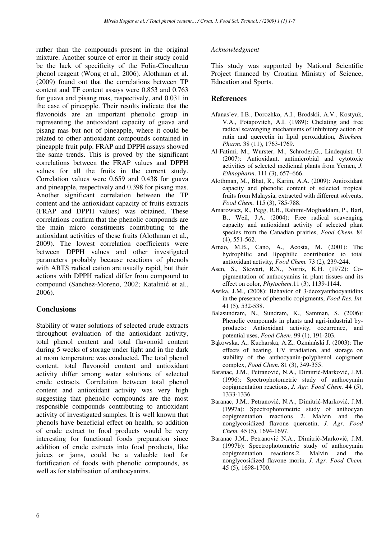rather than the compounds present in the original mixture. Another source of error in their study could be the lack of specificity of the Folin-Ciocalteau phenol reagent (Wong et al., 2006). Alothman et al. (2009) found out that the correlations between TP content and TF content assays were 0.853 and 0.763 for guava and pisang mas, respectively, and 0.031 in the case of pineapple. Their results indicate that the flavonoids are an important phenolic group in representing the antioxidant capacity of guava and pisang mas but not of pineapple, where it could be related to other antioxidant compounds contained in pineapple fruit pulp. FRAP and DPPH assays showed the same trends. This is proved by the significant correlations between the FRAP values and DPPH values for all the fruits in the current study. Correlation values were 0.659 and 0.438 for guava and pineapple, respectively and 0.398 for pisang mas. Another significant correlation between the TP content and the antioxidant capacity of fruits extracts (FRAP and DPPH values) was obtained. These correlations confirm that the phenolic compounds are the main micro constituents contributing to the antioxidant activities of these fruits (Alothman et al., 2009). The lowest correlation coefficients were between DPPH values and other investigated parameters probably because reactions of phenols with ABTS radical cation are usually rapid, but their actions with DPPH radical differ from compound to compound (Sanchez-Moreno, 2002; Katalinić et al., 2006).

# **Conclusions**

Stability of water solutions of selected crude extracts throughout evaluation of the antioxidant activity, total phenol content and total flavonoid content during 5 weeks of storage under light and in the dark at room temperature was conducted. The total phenol content, total flavonoid content and antioxidant activity differ among water solutions of selected crude extracts. Correlation between total phenol content and antioxidant activity was very high suggesting that phenolic compounds are the most responsible compounds contributing to antioxidant activity of investigated samples. It is well known that phenols have beneficial effect on health, so addition of crude extract to food products would be very interesting for functional foods preparation since addition of crude extracts into food products, like juices or jams, could be a valuable tool for fortification of foods with phenolic compounds, as well as for stabilisation of anthocyanins.

#### *Acknowledgment*

This study was supported by National Scientific Project financed by Croatian Ministry of Science, Education and Sports.

## **References**

- Afanas'ev, I.B., Dorozhko, A.I., Brodskii, A.V., Kostyuk, V.A., Potapovitch, A.I. (1989): Chelating and free radical scavenging mechanisms of inhibitory action of rutin and quercetin in lipid peroxidation, *Biochem. Pharm.* 38 (11), 1763-1769.
- Al-Fatimi, M., Wurster, M., Schroder,G., Lindequist, U. (2007): Antioxidant, antimicrobial and cytotoxic activities of selected medicinal plants from Yemen, *J. Ethnopharm*. 111 (3), 657–666.
- Alothman, M., Bhat, R., Karim, A.A. (2009): Antioxidant capacity and phenolic content of selected tropical fruits from Malaysia, extracted with different solvents, *Food Chem.* 115 (3), 785-788.
- Amarowicz, R., Pegg, R.B., Rahimi-Moghaddam, P., Barl, B., Weil, J.A. (2004): Free radical scavenging capacity and antioxidant activity of selected plant species from the Canadian prairies, *Food Chem.* 84 (4), 551-562.
- Arnao, M.B., Cano, A., Acosta, M. (2001): The hydrophilic and lipophilic contribution to total antioxidant activity, *Food Chem.* 73 (2), 239-244.
- Asen, S., Stewart, R.N., Norris, K.H. (1972): Copigmentation of anthocyanins in plant tissues and its effect on color, *Phytochem.*11 (3), 1139-1144.
- Awika, J.M., (2008): Behavior of 3-deoxyanthocyanidins in the presence of phenolic copigments, *Food Res. Int.* 41 (5), 532-538.
- Balasundram, N., Sundram, K., Samman, S. (2006): Phenolic compounds in plants and agri-industrial byproducts: Antioxidant activity, occurrence, and potential uses, *Food Chem.* 99 (1), 191-203.
- Bąkowska, A., Kucharska, A.Z., Ozmiański J. (2003): The effects of heating, UV irradiation, and storage on stability of the anthocyanin-polyphenol copigment complex, *Food Chem.* 81 (3), 349-355.
- Baranac, J.M., Petranović, N.A., Dimitrić-Marković, J.M. (1996): Spectrophotometric study of anthocyanin copigmentation reactions, *J. Agr. Food Chem.* 44 (5), 1333-1336.
- Baranac, J.M., Petranović, N.A., Dimitrić-Marković, J.M. (1997a): Spectrophotometric study of anthocyan copigmentation reactions 2. Malvin and the nonglycosidized flavone quercetin, *J. Agr. Food Chem.* 45 (5), 1694-1697.
- Baranac J.M., Petranović N.A., Dimitrić-Marković, J.M. (1997b): Spectrophotometric study of anthocyanin copigmentation reactions.2. Malvin and the nonglycosidized flavone morin, *J. Agr. Food Chem.* 45 (5), 1698-1700.